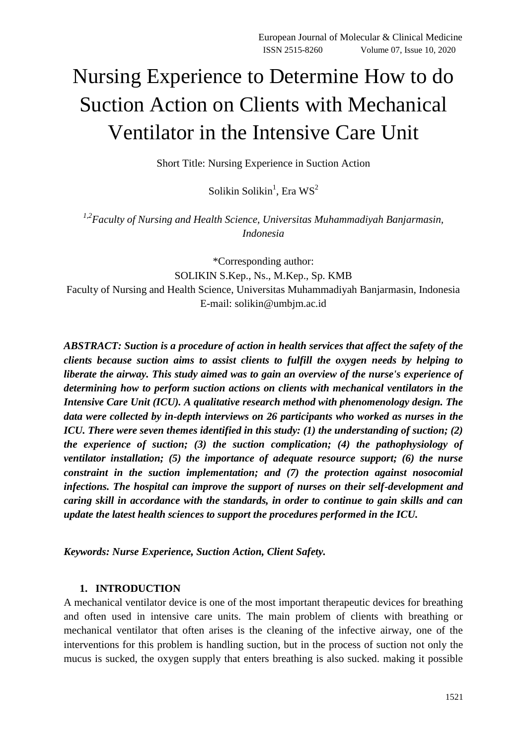# Nursing Experience to Determine How to do Suction Action on Clients with Mechanical Ventilator in the Intensive Care Unit

Short Title: Nursing Experience in Suction Action

Solikin Solikin $^{1}$ , Era WS $^{2}$ 

*1,2Faculty of Nursing and Health Science, Universitas Muhammadiyah Banjarmasin, Indonesia*

\*Corresponding author: SOLIKIN S.Kep., Ns., M.Kep., Sp. KMB Faculty of Nursing and Health Science, Universitas Muhammadiyah Banjarmasin, Indonesia E-mail: solikin@umbjm.ac.id

*ABSTRACT: Suction is a procedure of action in health services that affect the safety of the clients because suction aims to assist clients to fulfill the oxygen needs by helping to liberate the airway. This study aimed was to gain an overview of the nurse's experience of determining how to perform suction actions on clients with mechanical ventilators in the Intensive Care Unit (ICU). A qualitative research method with phenomenology design. The data were collected by in-depth interviews on 26 participants who worked as nurses in the ICU. There were seven themes identified in this study: (1) the understanding of suction; (2) the experience of suction; (3) the suction complication; (4) the pathophysiology of ventilator installation; (5) the importance of adequate resource support; (6) the nurse constraint in the suction implementation; and (7) the protection against nosocomial infections. The hospital can improve the support of nurses on their self-development and caring skill in accordance with the standards, in order to continue to gain skills and can update the latest health sciences to support the procedures performed in the ICU.*

*Keywords: Nurse Experience, Suction Action, Client Safety.*

# **1. INTRODUCTION**

A mechanical ventilator device is one of the most important therapeutic devices for breathing and often used in intensive care units. The main problem of clients with breathing or mechanical ventilator that often arises is the cleaning of the infective airway, one of the interventions for this problem is handling suction, but in the process of suction not only the mucus is sucked, the oxygen supply that enters breathing is also sucked. making it possible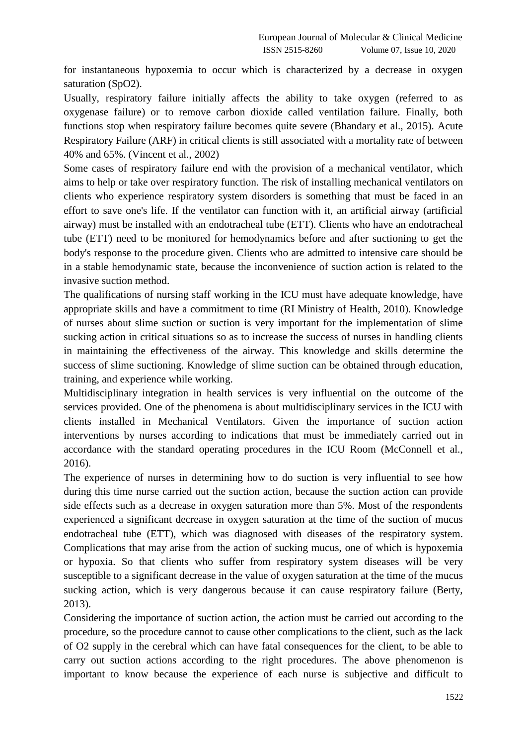for instantaneous hypoxemia to occur which is characterized by a decrease in oxygen saturation (SpO2).

Usually, respiratory failure initially affects the ability to take oxygen (referred to as oxygenase failure) or to remove carbon dioxide called ventilation failure. Finally, both functions stop when respiratory failure becomes quite severe (Bhandary et al., 2015). Acute Respiratory Failure (ARF) in critical clients is still associated with a mortality rate of between 40% and 65%. (Vincent et al., 2002)

Some cases of respiratory failure end with the provision of a mechanical ventilator, which aims to help or take over respiratory function. The risk of installing mechanical ventilators on clients who experience respiratory system disorders is something that must be faced in an effort to save one's life. If the ventilator can function with it, an artificial airway (artificial airway) must be installed with an endotracheal tube (ETT). Clients who have an endotracheal tube (ETT) need to be monitored for hemodynamics before and after suctioning to get the body's response to the procedure given. Clients who are admitted to intensive care should be in a stable hemodynamic state, because the inconvenience of suction action is related to the invasive suction method.

The qualifications of nursing staff working in the ICU must have adequate knowledge, have appropriate skills and have a commitment to time (RI Ministry of Health, 2010). Knowledge of nurses about slime suction or suction is very important for the implementation of slime sucking action in critical situations so as to increase the success of nurses in handling clients in maintaining the effectiveness of the airway. This knowledge and skills determine the success of slime suctioning. Knowledge of slime suction can be obtained through education, training, and experience while working.

Multidisciplinary integration in health services is very influential on the outcome of the services provided. One of the phenomena is about multidisciplinary services in the ICU with clients installed in Mechanical Ventilators. Given the importance of suction action interventions by nurses according to indications that must be immediately carried out in accordance with the standard operating procedures in the ICU Room (McConnell et al., 2016).

The experience of nurses in determining how to do suction is very influential to see how during this time nurse carried out the suction action, because the suction action can provide side effects such as a decrease in oxygen saturation more than 5%. Most of the respondents experienced a significant decrease in oxygen saturation at the time of the suction of mucus endotracheal tube (ETT), which was diagnosed with diseases of the respiratory system. Complications that may arise from the action of sucking mucus, one of which is hypoxemia or hypoxia. So that clients who suffer from respiratory system diseases will be very susceptible to a significant decrease in the value of oxygen saturation at the time of the mucus sucking action, which is very dangerous because it can cause respiratory failure (Berty, 2013).

Considering the importance of suction action, the action must be carried out according to the procedure, so the procedure cannot to cause other complications to the client, such as the lack of O2 supply in the cerebral which can have fatal consequences for the client, to be able to carry out suction actions according to the right procedures. The above phenomenon is important to know because the experience of each nurse is subjective and difficult to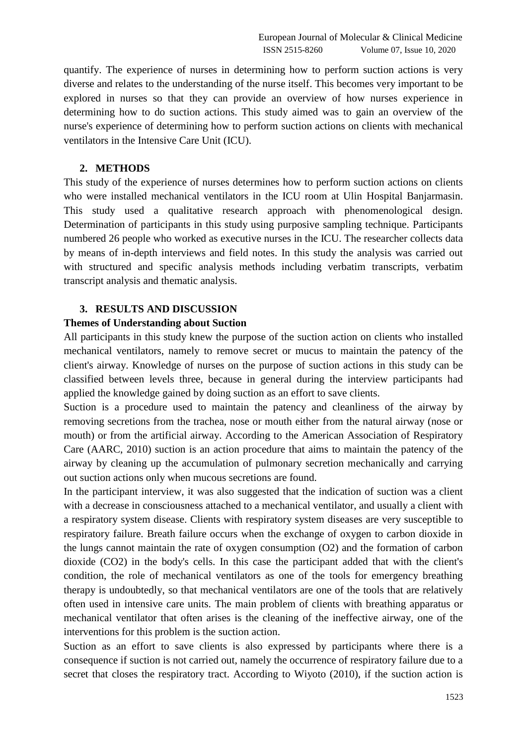quantify. The experience of nurses in determining how to perform suction actions is very diverse and relates to the understanding of the nurse itself. This becomes very important to be explored in nurses so that they can provide an overview of how nurses experience in determining how to do suction actions. This study aimed was to gain an overview of the nurse's experience of determining how to perform suction actions on clients with mechanical ventilators in the Intensive Care Unit (ICU).

### **2. METHODS**

This study of the experience of nurses determines how to perform suction actions on clients who were installed mechanical ventilators in the ICU room at Ulin Hospital Banjarmasin. This study used a qualitative research approach with phenomenological design. Determination of participants in this study using purposive sampling technique. Participants numbered 26 people who worked as executive nurses in the ICU. The researcher collects data by means of in-depth interviews and field notes. In this study the analysis was carried out with structured and specific analysis methods including verbatim transcripts, verbatim transcript analysis and thematic analysis.

#### **3. RESULTS AND DISCUSSION**

## **Themes of Understanding about Suction**

All participants in this study knew the purpose of the suction action on clients who installed mechanical ventilators, namely to remove secret or mucus to maintain the patency of the client's airway. Knowledge of nurses on the purpose of suction actions in this study can be classified between levels three, because in general during the interview participants had applied the knowledge gained by doing suction as an effort to save clients.

Suction is a procedure used to maintain the patency and cleanliness of the airway by removing secretions from the trachea, nose or mouth either from the natural airway (nose or mouth) or from the artificial airway. According to the American Association of Respiratory Care (AARC, 2010) suction is an action procedure that aims to maintain the patency of the airway by cleaning up the accumulation of pulmonary secretion mechanically and carrying out suction actions only when mucous secretions are found.

In the participant interview, it was also suggested that the indication of suction was a client with a decrease in consciousness attached to a mechanical ventilator, and usually a client with a respiratory system disease. Clients with respiratory system diseases are very susceptible to respiratory failure. Breath failure occurs when the exchange of oxygen to carbon dioxide in the lungs cannot maintain the rate of oxygen consumption (O2) and the formation of carbon dioxide (CO2) in the body's cells. In this case the participant added that with the client's condition, the role of mechanical ventilators as one of the tools for emergency breathing therapy is undoubtedly, so that mechanical ventilators are one of the tools that are relatively often used in intensive care units. The main problem of clients with breathing apparatus or mechanical ventilator that often arises is the cleaning of the ineffective airway, one of the interventions for this problem is the suction action.

Suction as an effort to save clients is also expressed by participants where there is a consequence if suction is not carried out, namely the occurrence of respiratory failure due to a secret that closes the respiratory tract. According to Wiyoto (2010), if the suction action is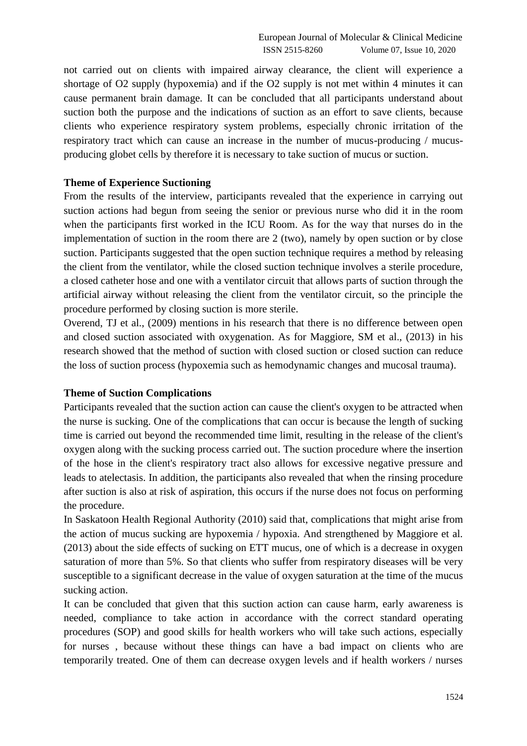not carried out on clients with impaired airway clearance, the client will experience a shortage of O2 supply (hypoxemia) and if the O2 supply is not met within 4 minutes it can cause permanent brain damage. It can be concluded that all participants understand about suction both the purpose and the indications of suction as an effort to save clients, because clients who experience respiratory system problems, especially chronic irritation of the respiratory tract which can cause an increase in the number of mucus-producing / mucusproducing globet cells by therefore it is necessary to take suction of mucus or suction.

## **Theme of Experience Suctioning**

From the results of the interview, participants revealed that the experience in carrying out suction actions had begun from seeing the senior or previous nurse who did it in the room when the participants first worked in the ICU Room. As for the way that nurses do in the implementation of suction in the room there are 2 (two), namely by open suction or by close suction. Participants suggested that the open suction technique requires a method by releasing the client from the ventilator, while the closed suction technique involves a sterile procedure, a closed catheter hose and one with a ventilator circuit that allows parts of suction through the artificial airway without releasing the client from the ventilator circuit, so the principle the procedure performed by closing suction is more sterile.

Overend, TJ et al., (2009) mentions in his research that there is no difference between open and closed suction associated with oxygenation. As for Maggiore, SM et al., (2013) in his research showed that the method of suction with closed suction or closed suction can reduce the loss of suction process (hypoxemia such as hemodynamic changes and mucosal trauma).

## **Theme of Suction Complications**

Participants revealed that the suction action can cause the client's oxygen to be attracted when the nurse is sucking. One of the complications that can occur is because the length of sucking time is carried out beyond the recommended time limit, resulting in the release of the client's oxygen along with the sucking process carried out. The suction procedure where the insertion of the hose in the client's respiratory tract also allows for excessive negative pressure and leads to atelectasis. In addition, the participants also revealed that when the rinsing procedure after suction is also at risk of aspiration, this occurs if the nurse does not focus on performing the procedure.

In Saskatoon Health Regional Authority (2010) said that, complications that might arise from the action of mucus sucking are hypoxemia / hypoxia. And strengthened by Maggiore et al. (2013) about the side effects of sucking on ETT mucus, one of which is a decrease in oxygen saturation of more than 5%. So that clients who suffer from respiratory diseases will be very susceptible to a significant decrease in the value of oxygen saturation at the time of the mucus sucking action.

It can be concluded that given that this suction action can cause harm, early awareness is needed, compliance to take action in accordance with the correct standard operating procedures (SOP) and good skills for health workers who will take such actions, especially for nurses , because without these things can have a bad impact on clients who are temporarily treated. One of them can decrease oxygen levels and if health workers / nurses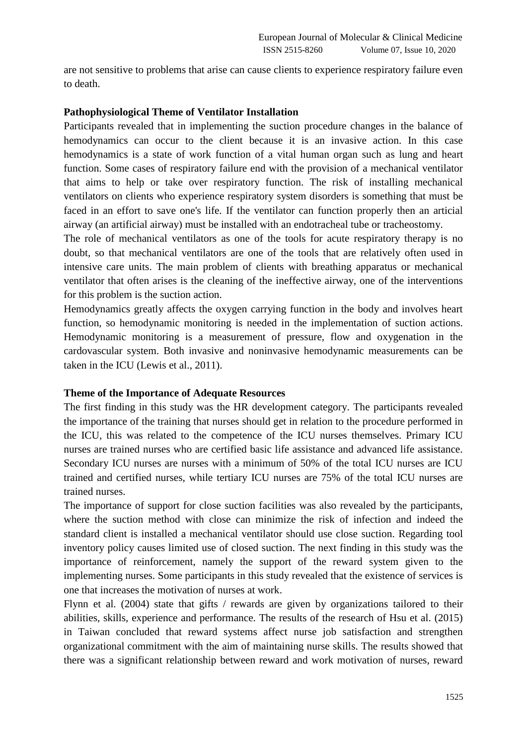are not sensitive to problems that arise can cause clients to experience respiratory failure even to death.

# **Pathophysiological Theme of Ventilator Installation**

Participants revealed that in implementing the suction procedure changes in the balance of hemodynamics can occur to the client because it is an invasive action. In this case hemodynamics is a state of work function of a vital human organ such as lung and heart function. Some cases of respiratory failure end with the provision of a mechanical ventilator that aims to help or take over respiratory function. The risk of installing mechanical ventilators on clients who experience respiratory system disorders is something that must be faced in an effort to save one's life. If the ventilator can function properly then an articial airway (an artificial airway) must be installed with an endotracheal tube or tracheostomy.

The role of mechanical ventilators as one of the tools for acute respiratory therapy is no doubt, so that mechanical ventilators are one of the tools that are relatively often used in intensive care units. The main problem of clients with breathing apparatus or mechanical ventilator that often arises is the cleaning of the ineffective airway, one of the interventions for this problem is the suction action.

Hemodynamics greatly affects the oxygen carrying function in the body and involves heart function, so hemodynamic monitoring is needed in the implementation of suction actions. Hemodynamic monitoring is a measurement of pressure, flow and oxygenation in the cardovascular system. Both invasive and noninvasive hemodynamic measurements can be taken in the ICU (Lewis et al., 2011).

## **Theme of the Importance of Adequate Resources**

The first finding in this study was the HR development category. The participants revealed the importance of the training that nurses should get in relation to the procedure performed in the ICU, this was related to the competence of the ICU nurses themselves. Primary ICU nurses are trained nurses who are certified basic life assistance and advanced life assistance. Secondary ICU nurses are nurses with a minimum of 50% of the total ICU nurses are ICU trained and certified nurses, while tertiary ICU nurses are 75% of the total ICU nurses are trained nurses.

The importance of support for close suction facilities was also revealed by the participants, where the suction method with close can minimize the risk of infection and indeed the standard client is installed a mechanical ventilator should use close suction. Regarding tool inventory policy causes limited use of closed suction. The next finding in this study was the importance of reinforcement, namely the support of the reward system given to the implementing nurses. Some participants in this study revealed that the existence of services is one that increases the motivation of nurses at work.

Flynn et al. (2004) state that gifts / rewards are given by organizations tailored to their abilities, skills, experience and performance. The results of the research of Hsu et al. (2015) in Taiwan concluded that reward systems affect nurse job satisfaction and strengthen organizational commitment with the aim of maintaining nurse skills. The results showed that there was a significant relationship between reward and work motivation of nurses, reward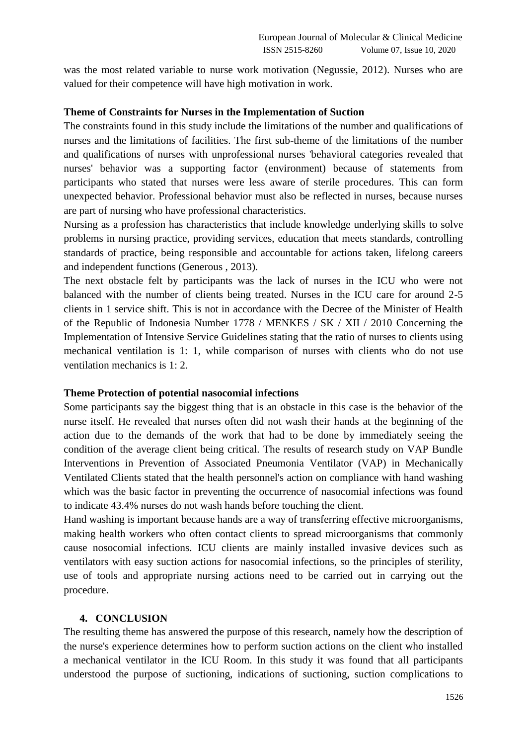was the most related variable to nurse work motivation (Negussie, 2012). Nurses who are valued for their competence will have high motivation in work.

## **Theme of Constraints for Nurses in the Implementation of Suction**

The constraints found in this study include the limitations of the number and qualifications of nurses and the limitations of facilities. The first sub-theme of the limitations of the number and qualifications of nurses with unprofessional nurses 'behavioral categories revealed that nurses' behavior was a supporting factor (environment) because of statements from participants who stated that nurses were less aware of sterile procedures. This can form unexpected behavior. Professional behavior must also be reflected in nurses, because nurses are part of nursing who have professional characteristics.

Nursing as a profession has characteristics that include knowledge underlying skills to solve problems in nursing practice, providing services, education that meets standards, controlling standards of practice, being responsible and accountable for actions taken, lifelong careers and independent functions (Generous , 2013).

The next obstacle felt by participants was the lack of nurses in the ICU who were not balanced with the number of clients being treated. Nurses in the ICU care for around 2-5 clients in 1 service shift. This is not in accordance with the Decree of the Minister of Health of the Republic of Indonesia Number 1778 / MENKES / SK / XII / 2010 Concerning the Implementation of Intensive Service Guidelines stating that the ratio of nurses to clients using mechanical ventilation is 1: 1, while comparison of nurses with clients who do not use ventilation mechanics is 1: 2.

#### **Theme Protection of potential nasocomial infections**

Some participants say the biggest thing that is an obstacle in this case is the behavior of the nurse itself. He revealed that nurses often did not wash their hands at the beginning of the action due to the demands of the work that had to be done by immediately seeing the condition of the average client being critical. The results of research study on VAP Bundle Interventions in Prevention of Associated Pneumonia Ventilator (VAP) in Mechanically Ventilated Clients stated that the health personnel's action on compliance with hand washing which was the basic factor in preventing the occurrence of nasocomial infections was found to indicate 43.4% nurses do not wash hands before touching the client.

Hand washing is important because hands are a way of transferring effective microorganisms, making health workers who often contact clients to spread microorganisms that commonly cause nosocomial infections. ICU clients are mainly installed invasive devices such as ventilators with easy suction actions for nasocomial infections, so the principles of sterility, use of tools and appropriate nursing actions need to be carried out in carrying out the procedure.

### **4. CONCLUSION**

The resulting theme has answered the purpose of this research, namely how the description of the nurse's experience determines how to perform suction actions on the client who installed a mechanical ventilator in the ICU Room. In this study it was found that all participants understood the purpose of suctioning, indications of suctioning, suction complications to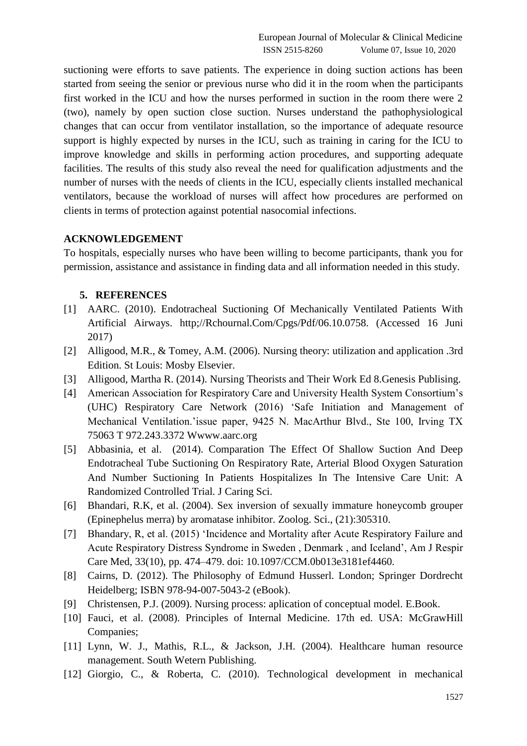suctioning were efforts to save patients. The experience in doing suction actions has been started from seeing the senior or previous nurse who did it in the room when the participants first worked in the ICU and how the nurses performed in suction in the room there were 2 (two), namely by open suction close suction. Nurses understand the pathophysiological changes that can occur from ventilator installation, so the importance of adequate resource support is highly expected by nurses in the ICU, such as training in caring for the ICU to improve knowledge and skills in performing action procedures, and supporting adequate facilities. The results of this study also reveal the need for qualification adjustments and the number of nurses with the needs of clients in the ICU, especially clients installed mechanical ventilators, because the workload of nurses will affect how procedures are performed on clients in terms of protection against potential nasocomial infections.

# **ACKNOWLEDGEMENT**

To hospitals, especially nurses who have been willing to become participants, thank you for permission, assistance and assistance in finding data and all information needed in this study.

## **5. REFERENCES**

- [1] AARC. (2010). Endotracheal Suctioning Of Mechanically Ventilated Patients With Artificial Airways. http;//Rchournal.Com/Cpgs/Pdf/06.10.0758. (Accessed 16 Juni 2017)
- [2] Alligood, M.R., & Tomey, A.M. (2006). Nursing theory: utilization and application .3rd Edition. St Louis: Mosby Elsevier.
- [3] Alligood, Martha R. (2014). Nursing Theorists and Their Work Ed 8.Genesis Publising.
- [4] American Association for Respiratory Care and University Health System Consortium's (UHC) Respiratory Care Network (2016) 'Safe Initiation and Management of Mechanical Ventilation.'issue paper, 9425 N. MacArthur Blvd., Ste 100, Irving TX 75063 T 972.243.3372 Wwww.aarc.org
- [5] Abbasinia, et al. (2014). Comparation The Effect Of Shallow Suction And Deep Endotracheal Tube Suctioning On Respiratory Rate, Arterial Blood Oxygen Saturation And Number Suctioning In Patients Hospitalizes In The Intensive Care Unit: A Randomized Controlled Trial. J Caring Sci.
- [6] Bhandari, R.K, et al. (2004). Sex inversion of sexually immature honeycomb grouper (Epinephelus merra) by aromatase inhibitor. Zoolog. Sci., (21):305310.
- [7] Bhandary, R, et al. (2015) 'Incidence and Mortality after Acute Respiratory Failure and Acute Respiratory Distress Syndrome in Sweden , Denmark , and Iceland', Am J Respir Care Med, 33(10), pp. 474–479. doi: 10.1097/CCM.0b013e3181ef4460.
- [8] Cairns, D. (2012). The Philosophy of Edmund Husserl. London; Springer Dordrecht Heidelberg; ISBN 978-94-007-5043-2 (eBook).
- [9] Christensen, P.J. (2009). Nursing process: aplication of conceptual model. E.Book.
- [10] Fauci, et al. (2008). Principles of Internal Medicine. 17th ed. USA: McGrawHill Companies;
- [11] Lynn, W. J., Mathis, R.L., & Jackson, J.H. (2004). Healthcare human resource management. South Wetern Publishing.
- [12] Giorgio, C., & Roberta, C. (2010). Technological development in mechanical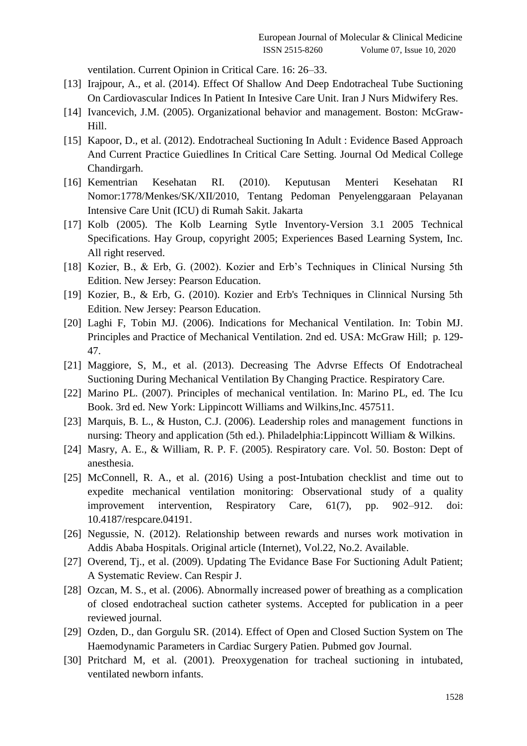ventilation. Current Opinion in Critical Care. 16: 26–33.

- [13] Irajpour, A., et al. (2014). Effect Of Shallow And Deep Endotracheal Tube Suctioning On Cardiovascular Indices In Patient In Intesive Care Unit. Iran J Nurs Midwifery Res.
- [14] Ivancevich, J.M. (2005). Organizational behavior and management. Boston: McGraw-Hill.
- [15] Kapoor, D., et al. (2012). Endotracheal Suctioning In Adult : Evidence Based Approach And Current Practice Guiedlines In Critical Care Setting. Journal Od Medical College Chandirgarh.
- [16] Kementrian Kesehatan RI. (2010). Keputusan Menteri Kesehatan RI Nomor:1778/Menkes/SK/XII/2010, Tentang Pedoman Penyelenggaraan Pelayanan Intensive Care Unit (ICU) di Rumah Sakit. Jakarta
- [17] Kolb (2005). The Kolb Learning Sytle Inventory-Version 3.1 2005 Technical Specifications. Hay Group, copyright 2005; Experiences Based Learning System, Inc. All right reserved.
- [18] Kozier, B., & Erb, G. (2002). Kozier and Erb's Techniques in Clinical Nursing 5th Edition. New Jersey: Pearson Education.
- [19] Kozier, B., & Erb, G. (2010). Kozier and Erb's Techniques in Clinnical Nursing 5th Edition. New Jersey: Pearson Education.
- [20] Laghi F, Tobin MJ. (2006). Indications for Mechanical Ventilation. In: Tobin MJ. Principles and Practice of Mechanical Ventilation. 2nd ed. USA: McGraw Hill; p. 129- 47.
- [21] Maggiore, S, M., et al. (2013). Decreasing The Advrse Effects Of Endotracheal Suctioning During Mechanical Ventilation By Changing Practice. Respiratory Care.
- [22] Marino PL. (2007). Principles of mechanical ventilation. In: Marino PL, ed. The Icu Book. 3rd ed. New York: Lippincott Williams and Wilkins,Inc. 457511.
- [23] Marquis, B. L., & Huston, C.J. (2006). Leadership roles and management functions in nursing: Theory and application (5th ed.). Philadelphia:Lippincott William & Wilkins.
- [24] Masry, A. E., & William, R. P. F. (2005). Respiratory care. Vol. 50. Boston: Dept of anesthesia.
- [25] McConnell, R. A., et al. (2016) Using a post-Intubation checklist and time out to expedite mechanical ventilation monitoring: Observational study of a quality improvement intervention, Respiratory Care, 61(7), pp. 902–912. doi: 10.4187/respcare.04191.
- [26] Negussie, N. (2012). Relationship between rewards and nurses work motivation in Addis Ababa Hospitals. Original article (Internet), Vol.22, No.2. Available.
- [27] Overend, Tj., et al. (2009). Updating The Evidance Base For Suctioning Adult Patient; A Systematic Review. Can Respir J.
- [28] Ozcan, M. S., et al. (2006). Abnormally increased power of breathing as a complication of closed endotracheal suction catheter systems. Accepted for publication in a peer reviewed journal.
- [29] Ozden, D., dan Gorgulu SR. (2014). Effect of Open and Closed Suction System on The Haemodynamic Parameters in Cardiac Surgery Patien. Pubmed gov Journal.
- [30] Pritchard M, et al. (2001). Preoxygenation for tracheal suctioning in intubated, ventilated newborn infants.